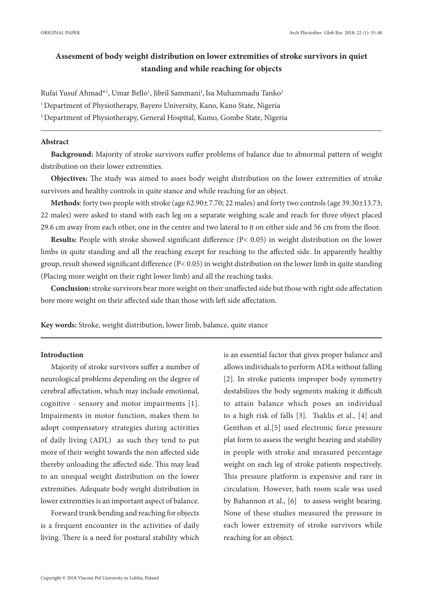# **Assesment of body weight distribution on lower extremities of stroke survivors in quiet standing and while reaching for objects**

Rufai Yusuf Ahmad\*<sup>1</sup>, Umar Bello<sup>1</sup>, Jibril Sammani<sup>1</sup>, Isa Muhammadu Tanko<sup>2</sup>

<sup>1</sup> Department of Physiotherapy, Bayero University, Kano, Kano State, Nigeria

2 Department of Physiotherapy, General Hospital, Kumo, Gombe State, Nigeria

# **Abstract**

**Background:** Majority of stroke survivors suffer problems of balance due to abnormal pattern of weight distribution on their lower extremities.

**Objectives:** The study was aimed to asses body weight distribution on the lower extremities of stroke survivors and healthy controls in quite stance and while reaching for an object.

**Methods**: forty two people with stroke (age 62.90±7.70; 22 males) and forty two controls (age 39.30±13.73; 22 males) were asked to stand with each leg on a separate weighing scale and reach for three object placed 29.6 cm away from each other, one in the centre and two lateral to it on either side and 56 cm from the floor.

**Results:** People with stroke showed significant difference (P< 0.05) in weight distribution on the lower limbs in quite standing and all the reaching except for reaching to the affected side. In apparently healthy group, result showed significant difference (P< 0.05) in weight distribution on the lower limb in quite standing (Placing more weight on their right lower limb) and all the reaching tasks.

**Conclusion:** stroke survivors bear more weight on their unaffected side but those with right side affectation bore more weight on their affected side than those with left side affectation.

**Key words:** Stroke, weight distribution, lower limb, balance, quite stance

# **Introduction**

Majority of stroke survivors suffer a number of neurological problems depending on the degree of cerebral affectation, which may include emotional, cognitive - sensory and motor impairments [1]. Impairments in motor function, makes them to adopt compensatory strategies during activities of daily living (ADL) as such they tend to put more of their weight towards the non affected side thereby unloading the affected side. This may lead to an unequal weight distribution on the lower extremities. Adequate body weight distribution in lower extremities is an important aspect of balance.

Forward trunk bending and reaching for objects is a frequent encounter in the activities of daily living. There is a need for postural stability which is an essential factor that gives proper balance and allows individuals to perform ADLs without falling [2]. In stroke patients improper body symmetry destabilizes the body segments making it difficult to attain balance which poses an individual to a high risk of falls [3]. Tsaklis et al., [4] and Genthon et al.[5] used electronic force pressure plat form to assess the weight bearing and stability in people with stroke and measured percentage weight on each leg of stroke patients respectively. This pressure platform is expensive and rare in circulation. However, bath room scale was used by Bahannon et al., [6] to assess weight bearing. None of these studies measured the pressure in each lower extremity of stroke survivors while reaching for an object.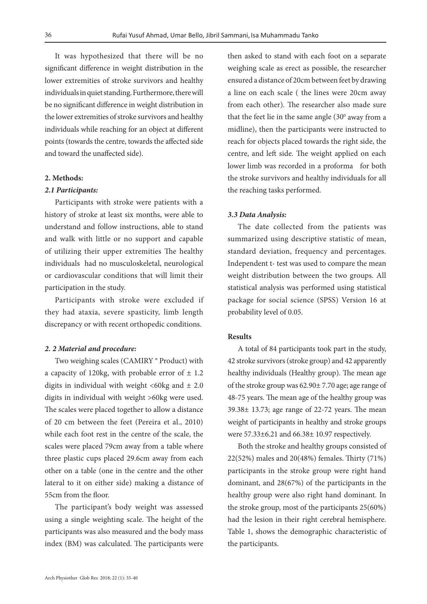It was hypothesized that there will be no significant difference in weight distribution in the lower extremities of stroke survivors and healthy individuals in quiet standing. Furthermore, there will be no significant difference in weight distribution in the lower extremities of stroke survivors and healthy individuals while reaching for an object at different points (towards the centre, towards the affected side and toward the unaffected side).

# **2. Methods:**

#### *2.1 Participants:*

Participants with stroke were patients with a history of stroke at least six months, were able to understand and follow instructions, able to stand and walk with little or no support and capable of utilizing their upper extremities The healthy individuals had no musculoskeletal, neurological or cardiovascular conditions that will limit their participation in the study.

Participants with stroke were excluded if they had ataxia, severe spasticity, limb length discrepancy or with recent orthopedic conditions.

#### *2. 2 Material and procedure:*

Two weighing scales (CAMIRY ® Product) with a capacity of 120kg, with probable error of  $\pm$  1.2 digits in individual with weight  $\langle 60 \text{kg} \rangle$  and  $\pm 2.0$ digits in individual with weight >60kg were used. The scales were placed together to allow a distance of 20 cm between the feet (Pereira et al., 2010) while each foot rest in the centre of the scale, the scales were placed 79cm away from a table where three plastic cups placed 29.6cm away from each other on a table (one in the centre and the other lateral to it on either side) making a distance of 55cm from the floor.

The participant's body weight was assessed using a single weighting scale. The height of the participants was also measured and the body mass index (BM) was calculated. The participants were then asked to stand with each foot on a separate weighing scale as erect as possible, the researcher ensured a distance of 20cm between feet by drawing a line on each scale ( the lines were 20cm away from each other). The researcher also made sure that the feet lie in the same angle  $(30<sup>o</sup>$  away from a midline), then the participants were instructed to reach for objects placed towards the right side, the centre, and left side. The weight applied on each lower limb was recorded in a proforma for both the stroke survivors and healthy individuals for all the reaching tasks performed.

#### *3.3 Data Analysis:*

The date collected from the patients was summarized using descriptive statistic of mean, standard deviation, frequency and percentages. Independent t- test was used to compare the mean weight distribution between the two groups. All statistical analysis was performed using statistical package for social science (SPSS) Version 16 at probability level of 0.05.

# **Results**

A total of 84 participants took part in the study, 42 stroke survivors (stroke group) and 42 apparently healthy individuals (Healthy group). The mean age of the stroke group was 62.90± 7.70 age; age range of 48-75 years. The mean age of the healthy group was 39.38± 13.73; age range of 22-72 years. The mean weight of participants in healthy and stroke groups were 57.33±6.21 and 66.38± 10.97 respectively.

Both the stroke and healthy groups consisted of 22(52%) males and 20(48%) females. Thirty (71%) participants in the stroke group were right hand dominant, and 28(67%) of the participants in the healthy group were also right hand dominant. In the stroke group, most of the participants 25(60%) had the lesion in their right cerebral hemisphere. Table 1, shows the demographic characteristic of the participants.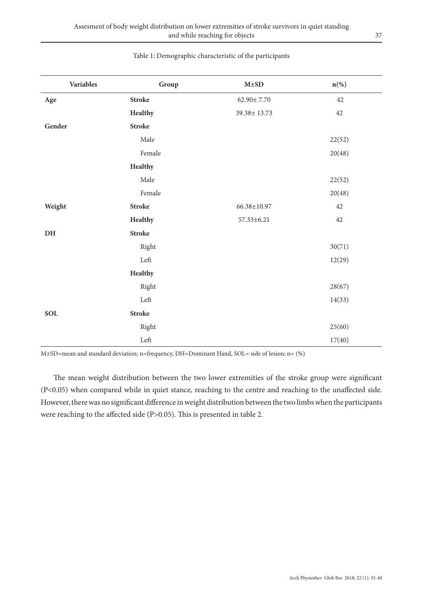| Variables     | Group         | $\mathbf{M}\text{\pm}\mathbf{SD}$ | $n$ <sup>(%)</sup> |
|---------------|---------------|-----------------------------------|--------------------|
| Age           | <b>Stroke</b> | $62.90 \pm 7.70$                  | $42\,$             |
|               | Healthy       | 39.38±13.73                       | $42\,$             |
| Gender        | <b>Stroke</b> |                                   |                    |
|               | Male          |                                   | 22(52)             |
|               | Female        |                                   | 20(48)             |
|               | Healthy       |                                   |                    |
|               | Male          |                                   | 22(52)             |
|               | Female        |                                   | 20(48)             |
| Weight        | <b>Stroke</b> | 66.38±10.97                       | $42\,$             |
|               | Healthy       | $57.33 \pm 6.21$                  | $42\,$             |
| $\mathbf{DH}$ | <b>Stroke</b> |                                   |                    |
|               | Right         |                                   | 30(71)             |
|               | Left          |                                   | 12(29)             |
|               | Healthy       |                                   |                    |
|               | Right         |                                   | 28(67)             |
|               | ${\rm Left}$  |                                   | 14(33)             |
| SOL           | <b>Stroke</b> |                                   |                    |
|               | Right         |                                   | 25(60)             |
|               | ${\rm Left}$  |                                   | 17(40)             |

# Table 1: Demographic characteristic of the participants

M±SD=mean and standard deviation; n=frequency, DH=Dominant Hand, SOL= side of lesion; n= (%)

 The mean weight distribution between the two lower extremities of the stroke group were significant (P<0.05) when compared while in quiet stance, reaching to the centre and reaching to the unaffected side. However, there was no significant difference in weight distribution between the two limbs when the participants were reaching to the affected side (P>0.05). This is presented in table 2.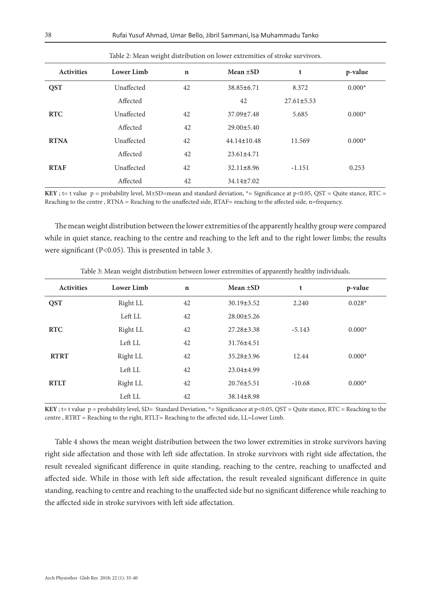| <b>Activities</b> | Lower Limb | $\mathbf n$ | Mean $\pm SD$     | t                | p-value  |
|-------------------|------------|-------------|-------------------|------------------|----------|
| <b>QST</b>        | Unaffected | 42          | $38.85 \pm 6.71$  | 8.372            | $0.000*$ |
|                   | Affected   |             | 42                | $27.61 \pm 5.53$ |          |
| <b>RTC</b>        | Unaffected | 42          | 37.09±7.48        | 5.685            | $0.000*$ |
|                   | Affected   | 42          | $29.00 \pm 5.40$  |                  |          |
| <b>RTNA</b>       | Unaffected | 42          | $44.14 \pm 10.48$ | 11.569           | $0.000*$ |
|                   | Affected   | 42          | $23.61 \pm 4.71$  |                  |          |
| <b>RTAF</b>       | Unaffected | 42          | $32.11 \pm 8.96$  | $-1.151$         | 0.253    |
|                   | Affected   | 42          | $34.14 \pm 7.02$  |                  |          |

Table 2: Mean weight distribution on lower extremities of stroke survivors.

**KEY**; t= t value  $p =$  probability level, M $\pm$ SD=mean and standard deviation, \*= Significance at  $p$ <0.05, QST = Quite stance, RTC = Reaching to the centre , RTNA = Reaching to the unaffected side, RTAF= reaching to the affected side, n=frequency.

The mean weight distribution between the lower extremities of the apparently healthy group were compared while in quiet stance, reaching to the centre and reaching to the left and to the right lower limbs; the results were significant (P<0.05). This is presented in table 3.

| <b>Activities</b> | Lower Limb | $\mathbf n$ | Mean $\pm SD$    | t        | p-value  |
|-------------------|------------|-------------|------------------|----------|----------|
| <b>QST</b>        | Right LL   | 42          | $30.19 \pm 3.52$ | 2.240    | $0.028*$ |
|                   | Left LL    | 42          | $28.00 \pm 5.26$ |          |          |
| <b>RTC</b>        | Right LL   | 42          | $27.28 \pm 3.38$ | $-5.143$ | $0.000*$ |
|                   | Left LL    | 42          | 31.76±4.51       |          |          |
| <b>RTRT</b>       | Right LL   | 42          | 35.28±3.96       | 12.44    | $0.000*$ |
|                   | Left LL    | 42          | $23.04 \pm 4.99$ |          |          |
| <b>RTLT</b>       | Right LL   | 42          | $20.76 \pm 5.51$ | $-10.68$ | $0.000*$ |
|                   | Left LL    | 42          | $38.14 \pm 8.98$ |          |          |

Table 3: Mean weight distribution between lower extremities of apparently healthy individuals.

**KEY**; t= t value p = probability level, SD= Standard Deviation, \*= Significance at p<0.05, QST = Quite stance, RTC = Reaching to the centre , RTRT = Reaching to the right, RTLT= Reaching to the affected side, LL=Lower Limb.

Table 4 shows the mean weight distribution between the two lower extremities in stroke survivors having right side affectation and those with left side affectation. In stroke survivors with right side affectation, the result revealed significant difference in quite standing, reaching to the centre, reaching to unaffected and affected side. While in those with left side affectation, the result revealed significant difference in quite standing, reaching to centre and reaching to the unaffected side but no significant difference while reaching to the affected side in stroke survivors with left side affectation.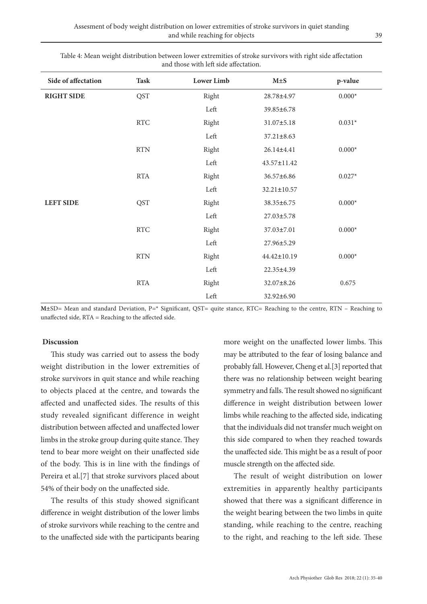| Side of affectation | <b>Task</b>          | <b>Lower Limb</b> | M±S              | p-value        |
|---------------------|----------------------|-------------------|------------------|----------------|
| <b>RIGHT SIDE</b>   | <b>QST</b>           | Right             | 28.78±4.97       | $0.000*$       |
|                     |                      | Left              | 39.85±6.78       |                |
|                     | $\operatorname{RTC}$ | Right             | 31.07±5.18       | $0.031*$       |
|                     |                      | Left              | $37.21 \pm 8.63$ |                |
|                     | <b>RTN</b>           | Right             | 26.14±4.41       | $0.000^{\ast}$ |
|                     |                      | Left              | 43.57±11.42      |                |
|                     | <b>RTA</b>           | Right             | 36.57±6.86       | $0.027*$       |
|                     |                      | Left              | 32.21±10.57      |                |
| <b>LEFT SIDE</b>    | <b>QST</b>           | Right             | 38.35±6.75       | $0.000^{\ast}$ |
|                     |                      | Left              | 27.03±5.78       |                |
|                     | $\operatorname{RTC}$ | Right             | 37.03±7.01       | $0.000^{\ast}$ |
|                     |                      | Left              | 27.96±5.29       |                |
|                     | <b>RTN</b>           | Right             | 44.42±10.19      | $0.000*$       |
|                     |                      | Left              | 22.35±4.39       |                |
|                     | $\operatorname{RTA}$ | Right             | 32.07±8.26       | 0.675          |
|                     |                      | Left              | 32.92±6.90       |                |

Table 4: Mean weight distribution between lower extremities of stroke survivors with right side affectation and those with left side affectation.

**M±**SD= Mean and standard Deviation, P=\* Significant, QST= quite stance, RTC= Reaching to the centre, RTN – Reaching to unaffected side, RTA = Reaching to the affected side.

# **Discussion**

This study was carried out to assess the body weight distribution in the lower extremities of stroke survivors in quit stance and while reaching to objects placed at the centre, and towards the affected and unaffected sides. The results of this study revealed significant difference in weight distribution between affected and unaffected lower limbs in the stroke group during quite stance. They tend to bear more weight on their unaffected side of the body. This is in line with the findings of Pereira et al.[7] that stroke survivors placed about 54% of their body on the unaffected side.

The results of this study showed significant difference in weight distribution of the lower limbs of stroke survivors while reaching to the centre and to the unaffected side with the participants bearing

more weight on the unaffected lower limbs. This may be attributed to the fear of losing balance and probably fall. However, Cheng et al.[3] reported that there was no relationship between weight bearing symmetry and falls. The result showed no significant difference in weight distribution between lower limbs while reaching to the affected side, indicating that the individuals did not transfer much weight on this side compared to when they reached towards the unaffected side. This might be as a result of poor muscle strength on the affected side.

The result of weight distribution on lower extremities in apparently healthy participants showed that there was a significant difference in the weight bearing between the two limbs in quite standing, while reaching to the centre, reaching to the right, and reaching to the left side. These